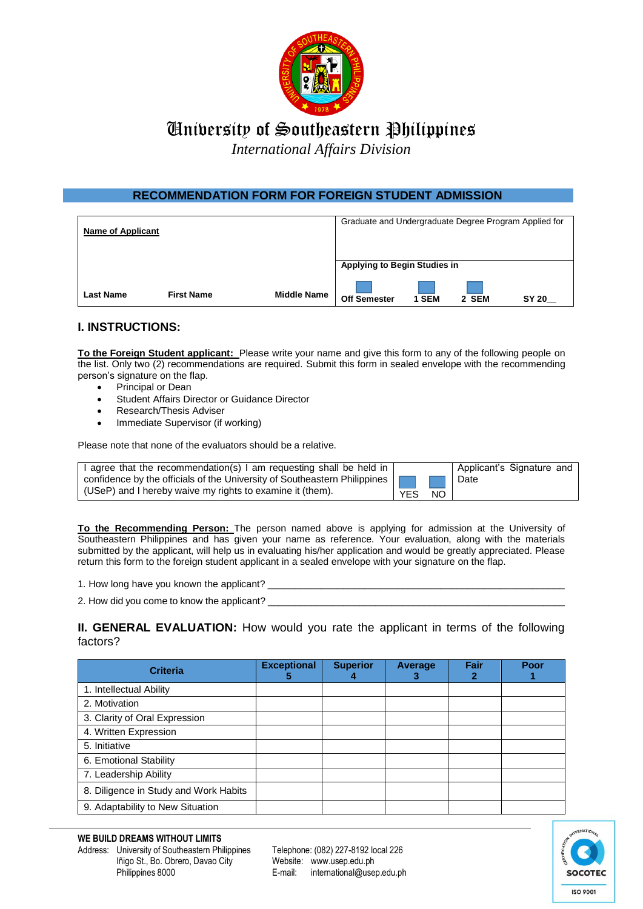

## University of Southeastern Philippines

*International Affairs Division*

## **RECOMMENDATION FORM FOR FOREIGN STUDENT ADMISSION**

| <b>Name of Applicant</b> |                   |                    | Graduate and Undergraduate Degree Program Applied for |       |       |              |
|--------------------------|-------------------|--------------------|-------------------------------------------------------|-------|-------|--------------|
|                          |                   |                    | <b>Applying to Begin Studies in</b>                   |       |       |              |
| <b>Last Name</b>         | <b>First Name</b> | <b>Middle Name</b> | <b>Off Semester</b>                                   | 1 SEM | 2 SEM | <b>SY 20</b> |

## **I. INSTRUCTIONS:**

**To the Foreign Student applicant:** Please write your name and give this form to any of the following people on the list. Only two (2) recommendations are required. Submit this form in sealed envelope with the recommending person's signature on the flap.

- Principal or Dean
- Student Affairs Director or Guidance Director
- Research/Thesis Adviser
- Immediate Supervisor (if working)

Please note that none of the evaluators should be a relative.

| I agree that the recommendation(s) I am requesting shall be held in       |            |    | Applicant's Signature and |
|---------------------------------------------------------------------------|------------|----|---------------------------|
| confidence by the officials of the University of Southeastern Philippines |            |    | Date                      |
| (USeP) and I hereby waive my rights to examine it (them).                 | <b>YES</b> | NΟ |                           |

**To the Recommending Person:** The person named above is applying for admission at the University of Southeastern Philippines and has given your name as reference. Your evaluation, along with the materials submitted by the applicant, will help us in evaluating his/her application and would be greatly appreciated. Please return this form to the foreign student applicant in a sealed envelope with your signature on the flap.

- 1. How long have you known the applicant? \_
- 2. How did you come to know the applicant? \_

**II. GENERAL EVALUATION:** How would you rate the applicant in terms of the following factors?

| <b>Criteria</b>                       | <b>Exceptional</b><br>b | <b>Superior</b> | Average | Fair | Poor |
|---------------------------------------|-------------------------|-----------------|---------|------|------|
| 1. Intellectual Ability               |                         |                 |         |      |      |
| 2. Motivation                         |                         |                 |         |      |      |
| 3. Clarity of Oral Expression         |                         |                 |         |      |      |
| 4. Written Expression                 |                         |                 |         |      |      |
| 5. Initiative                         |                         |                 |         |      |      |
| 6. Emotional Stability                |                         |                 |         |      |      |
| 7. Leadership Ability                 |                         |                 |         |      |      |
| 8. Diligence in Study and Work Habits |                         |                 |         |      |      |
| 9. Adaptability to New Situation      |                         |                 |         |      |      |

Address: University of Southeastern Philippines Telephone: (082) 227-8192 local 226 Iñigo St., Bo. Obrero, Davao City Website: www.usep.edu.ph Philippines 8000 E-mail: international@usep.edu.ph